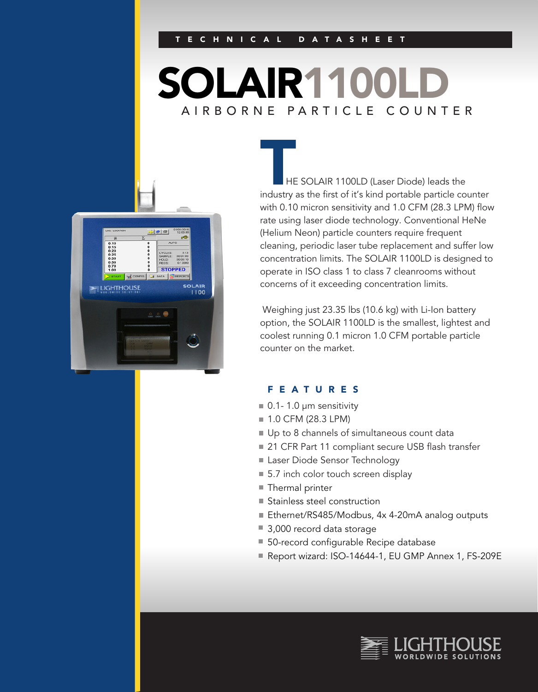# SOLAIR1100LD AIRBORNE PARTICLE COUNTER



**HE SOLAIR 1100LD (Laser Diode) leads the** industry as the first of it's kind portable particle counter with 0.10 micron sensitivity and 1.0 CFM (28.3 LPM) flow rate using laser diode technology. Conventional HeNe (Helium Neon) particle counters require frequent cleaning, periodic laser tube replacement and suffer low concentration limits. The SOLAIR 1100LD is designed to operate in ISO class 1 to class 7 cleanrooms without concerns of it exceeding concentration limits.

 Weighing just 23.35 lbs (10.6 kg) with Li-Ion battery option, the SOLAIR 1100LD is the smallest, lightest and coolest running 0.1 micron 1.0 CFM portable particle counter on the market.

### FEATURES

- $\blacksquare$  0.1- 1.0 µm sensitivity
- 1.0 CFM (28.3 LPM)
- Up to 8 channels of simultaneous count data
- 21 CFR Part 11 compliant secure USB flash transfer
- Laser Diode Sensor Technology
- 5.7 inch color touch screen display
- Thermal printer
- Stainless steel construction
- Ethernet/RS485/Modbus, 4x 4-20mA analog outputs
- 3,000 record data storage
- 50-record configurable Recipe database
- Report wizard: ISO-14644-1, EU GMP Annex 1, FS-209E